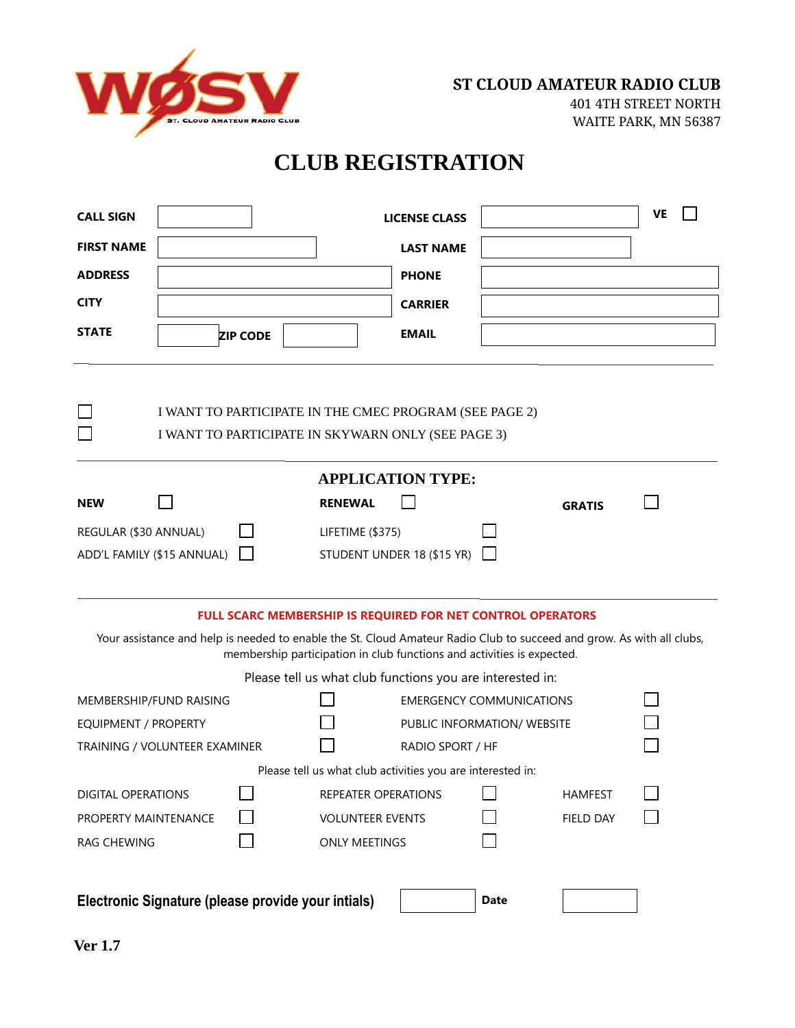

### **CLUB REGISTRATION**

| <b>CALL SIGN</b>                                                                                                                                                                                                                                               |                                 |                         |                     | <b>LICENSE CLASS</b>        |                  | $\blacktriangledown$            | VE |  |
|----------------------------------------------------------------------------------------------------------------------------------------------------------------------------------------------------------------------------------------------------------------|---------------------------------|-------------------------|---------------------|-----------------------------|------------------|---------------------------------|----|--|
| <b>FIRST NAME</b>                                                                                                                                                                                                                                              |                                 |                         |                     | <b>LAST NAME</b>            |                  |                                 |    |  |
| <b>ADDRESS</b>                                                                                                                                                                                                                                                 |                                 |                         |                     | <b>PHONE</b>                |                  |                                 |    |  |
| <b>CITY</b>                                                                                                                                                                                                                                                    |                                 |                         |                     | <b>CARRIER</b>              |                  |                                 |    |  |
| <b>STATE</b>                                                                                                                                                                                                                                                   | $\boxed{\blacksquare}$ ZIP CODE |                         |                     | <b>EMAIL</b>                |                  |                                 |    |  |
| I WANT TO PARTICIPATE IN THE CMEC PROGRAM (SEE PAGE 2)<br>I WANT TO PARTICIPATE IN SKYWARN ONLY (SEE PAGE 3)                                                                                                                                                   |                                 |                         |                     |                             |                  |                                 |    |  |
|                                                                                                                                                                                                                                                                |                                 |                         |                     | <b>APPLICATION TYPE:</b>    |                  |                                 |    |  |
| <b>NEW</b>                                                                                                                                                                                                                                                     |                                 |                         | <b>RENEWAL</b>      |                             |                  | <b>GRATIS</b>                   |    |  |
| REGULAR (\$30 ANNUAL)<br>LIFETIME (\$375)<br>ADD'L FAMILY (\$15 ANNUAL)<br>STUDENT UNDER 18 (\$15 YR)                                                                                                                                                          |                                 |                         |                     |                             |                  |                                 |    |  |
| FULL SCARC MEMBERSHIP IS REQUIRED FOR NET CONTROL OPERATORS<br>Your assistance and help is needed to enable the St. Cloud Amateur Radio Club to succeed and grow. As with all clubs,<br>membership participation in club functions and activities is expected. |                                 |                         |                     |                             |                  |                                 |    |  |
| Please tell us what club functions you are interested in:                                                                                                                                                                                                      |                                 |                         |                     |                             |                  |                                 |    |  |
| MEMBERSHIP/FUND RAISING                                                                                                                                                                                                                                        |                                 |                         |                     |                             |                  | <b>EMERGENCY COMMUNICATIONS</b> |    |  |
| <b>EQUIPMENT / PROPERTY</b>                                                                                                                                                                                                                                    |                                 |                         |                     | PUBLIC INFORMATION/ WEBSITE |                  |                                 |    |  |
| TRAINING / VOLUNTEER EXAMINER                                                                                                                                                                                                                                  |                                 |                         |                     |                             | RADIO SPORT / HF |                                 |    |  |
| Please tell us what club activities you are interested in:                                                                                                                                                                                                     |                                 |                         |                     |                             |                  |                                 |    |  |
| <b>DIGITAL OPERATIONS</b>                                                                                                                                                                                                                                      |                                 |                         | REPEATER OPERATIONS |                             |                  | <b>HAMFEST</b>                  |    |  |
| PROPERTY MAINTENANCE                                                                                                                                                                                                                                           |                                 | <b>VOLUNTEER EVENTS</b> |                     |                             | FIELD DAY        |                                 |    |  |
| RAG CHEWING                                                                                                                                                                                                                                                    |                                 | <b>ONLY MEETINGS</b>    |                     |                             |                  |                                 |    |  |
| Electronic Signature (please provide your intials)<br><b>Date</b>                                                                                                                                                                                              |                                 |                         |                     |                             |                  |                                 |    |  |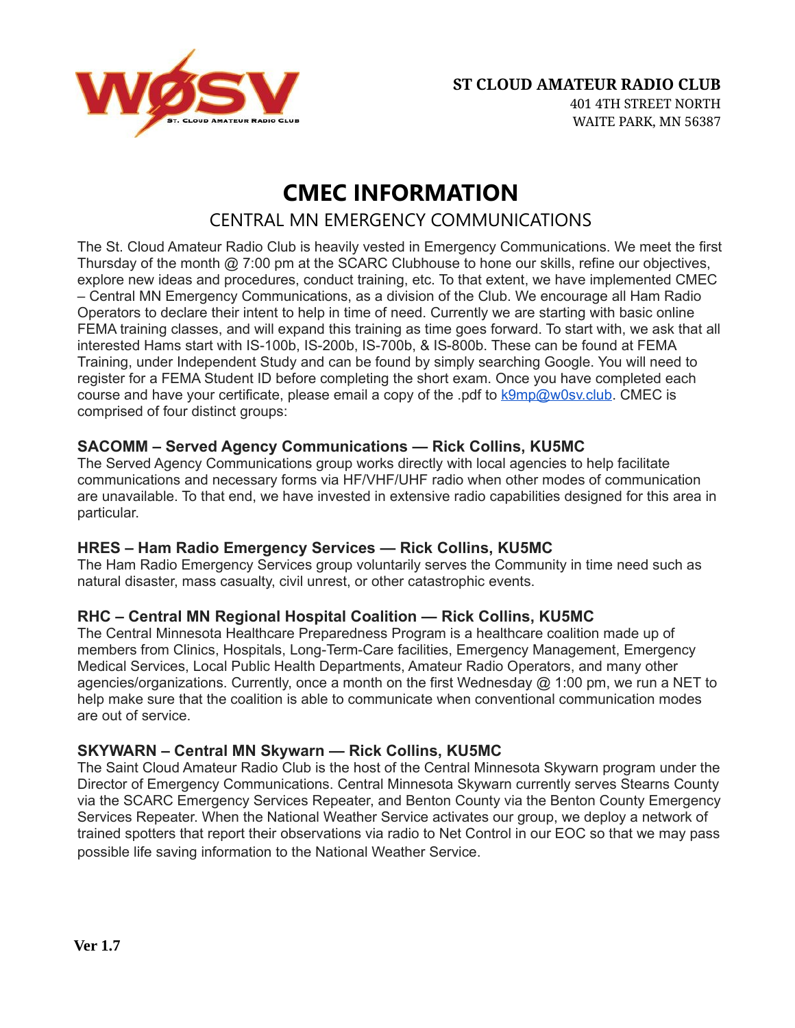

### **CMEC INFORMATION** CENTRAL MN EMERGENCY COMMUNICATIONS

The St. Cloud Amateur Radio Club is heavily vested in Emergency Communications. We meet the first Thursday of the month @ 7:00 pm at the SCARC Clubhouse to hone our skills, refine our objectives, explore new ideas and procedures, conduct training, etc. To that extent, we have implemented CMEC – Central MN Emergency Communications, as a division of the Club. We encourage all Ham Radio Operators to declare their intent to help in time of need. Currently we are starting with basic online FEMA training classes, and will expand this training as time goes forward. To start with, we ask that all interested Hams start with IS-100b, IS-200b, IS-700b, & IS-800b. These can be found at FEMA Training, under Independent Study and can be found by simply searching Google. You will need to register for a FEMA Student ID before completing the short exam. Once you have completed each course and have your certificate, please email a copy of the .pdf to  $k9mp@w0sv.club.$  CMEC is comprised of four distinct groups:

#### **SACOMM – Served Agency Communications — Rick Collins, KU5MC**

The Served Agency Communications group works directly with local agencies to help facilitate communications and necessary forms via HF/VHF/UHF radio when other modes of communication are unavailable. To that end, we have invested in extensive radio capabilities designed for this area in particular.

#### **HRES – Ham Radio Emergency Services — Rick Collins, KU5MC**

The Ham Radio Emergency Services group voluntarily serves the Community in time need such as natural disaster, mass casualty, civil unrest, or other catastrophic events.

### **RHC – Central MN Regional Hospital Coalition — Rick Collins, KU5MC**

The Central Minnesota Healthcare Preparedness Program is a healthcare coalition made up of members from Clinics, Hospitals, Long-Term-Care facilities, Emergency Management, Emergency Medical Services, Local Public Health Departments, Amateur Radio Operators, and many other agencies/organizations. Currently, once a month on the first Wednesday  $@1:00$  pm, we run a NET to help make sure that the coalition is able to communicate when conventional communication modes are out of service.

#### **SKYWARN – Central MN Skywarn — Rick Collins, KU5MC**

The Saint Cloud Amateur Radio Club is the host of the Central Minnesota Skywarn program under the Director of Emergency Communications. Central Minnesota Skywarn currently serves Stearns County via the SCARC Emergency Services Repeater, and Benton County via the Benton County Emergency Services Repeater. When the National Weather Service activates our group, we deploy a network of trained spotters that report their observations via radio to Net Control in our EOC so that we may pass possible life saving information to the National Weather Service.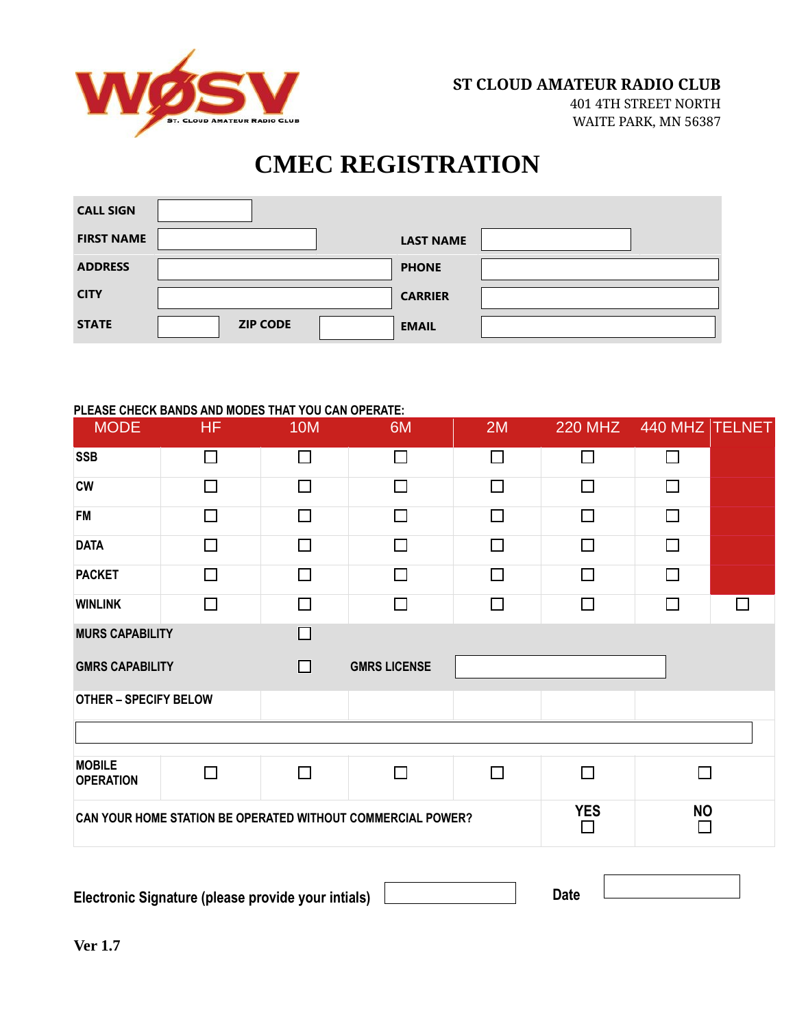

401 4TH STREET NORTH WAITE PARK, MN 56387

# **CMEC REGISTRATION**

| <b>CALL SIGN</b>  |                      |                 |                  |  |
|-------------------|----------------------|-----------------|------------------|--|
| <b>FIRST NAME</b> |                      |                 | <b>LAST NAME</b> |  |
| <b>ADDRESS</b>    |                      |                 | <b>PHONE</b>     |  |
| <b>CITY</b>       |                      |                 | <b>CARRIER</b>   |  |
| <b>STATE</b>      | $\blacktriangledown$ | <b>ZIP CODE</b> | <b>EMAIL</b>     |  |

#### **PLEASE CHECK BANDS AND MODES THAT YOU CAN OPERATE:**

| <b>MODE</b>                                                 | HF.    | <b>10M</b> | 6M                  | 2M     | <b>220 MHZ</b> | 440 MHZ TELNET |   |
|-------------------------------------------------------------|--------|------------|---------------------|--------|----------------|----------------|---|
| <b>SSB</b>                                                  | П      | П          | П                   | $\Box$ | П              | $\Box$         |   |
| <b>CW</b>                                                   | $\Box$ | П          | П                   | П      | П              | $\Box$         |   |
| <b>FM</b>                                                   | П      | П          | П                   | П      | П              | П              |   |
| <b>DATA</b>                                                 | $\Box$ | $\Box$     | П                   | $\Box$ | П              | $\Box$         |   |
| <b>PACKET</b>                                               | $\Box$ | П          | П                   | П      | П              | П              |   |
| <b>WINLINK</b>                                              | П      | П          | П                   | П      | $\mathsf{L}$   | $\Box$         | П |
| <b>MURS CAPABILITY</b>                                      |        | П          |                     |        |                |                |   |
| <b>GMRS CAPABILITY</b>                                      |        | П          | <b>GMRS LICENSE</b> |        |                |                |   |
| <b>OTHER - SPECIFY BELOW</b>                                |        |            |                     |        |                |                |   |
|                                                             |        |            |                     |        |                |                |   |
| <b>MOBILE</b><br><b>OPERATION</b>                           | П      | П          | П                   | $\Box$ | П<br>П         |                |   |
| CAN YOUR HOME STATION BE OPERATED WITHOUT COMMERCIAL POWER? |        |            |                     |        | <b>YES</b>     | <b>NO</b>      |   |

| Electronic Signature (please provide your intials) |  |  |
|----------------------------------------------------|--|--|
|                                                    |  |  |